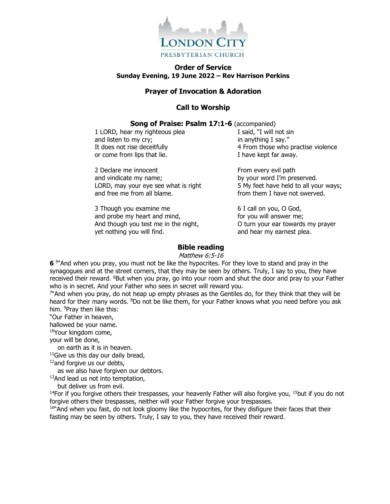

### **Order of Service Sunday Evening, 19 June 2022 – Rev Harrison Perkins**

### **Prayer of Invocation & Adoration**

## **Call to Worship**

#### **Song of Praise: Psalm 17:1-6** (accompanied)

1 LORD, hear my righteous plea and listen to my cry; It does not rise deceitfully or come from lips that lie.

2 Declare me innocent and vindicate my name; LORD, may your eye see what is right and free me from all blame.

3 Though you examine me and probe my heart and mind, And though you test me in the night, yet nothing you will find.

I said, "I will not sin in anything I say." 4 From those who practise violence I have kept far away.

From every evil path by your word I'm preserved. 5 My feet have held to all your ways; from them I have not swerved.

6 I call on you, O God, for you will answer me; O turn your ear towards my prayer and hear my earnest plea.

### **Bible reading**

Matthew 6:5-16

**6** <sup>5</sup>"And when you pray, you must not be like the hypocrites. For they love to stand and pray in the synagogues and at the street corners, that they may be seen by others. Truly, I say to you, they have received their reward. <sup>6</sup>But when you pray, go into your room and shut the door and pray to your Father who is in secret. And your Father who sees in secret will reward you.

7 "And when you pray, do not heap up empty phrases as the Gentiles do, for they think that they will be heard for their many words. <sup>8</sup>Do not be like them, for your Father knows what you need before you ask him. <sup>9</sup>Pray then like this:

"Our Father in heaven,

hallowed be your name.

<sup>10</sup>Your kingdom come,

your will be done,

on earth as it is in heaven.

 $11$ Give us this day our daily bread,

<sup>12</sup>and forgive us our debts,

as we also have forgiven our debtors.

<sup>13</sup>And lead us not into temptation,

but deliver us from evil.

<sup>14</sup>For if you forgive others their trespasses, your heavenly Father will also forgive you, <sup>15</sup>but if you do not forgive others their trespasses, neither will your Father forgive your trespasses.

16" And when you fast, do not look gloomy like the hypocrites, for they disfigure their faces that their fasting may be seen by others. Truly, I say to you, they have received their reward.